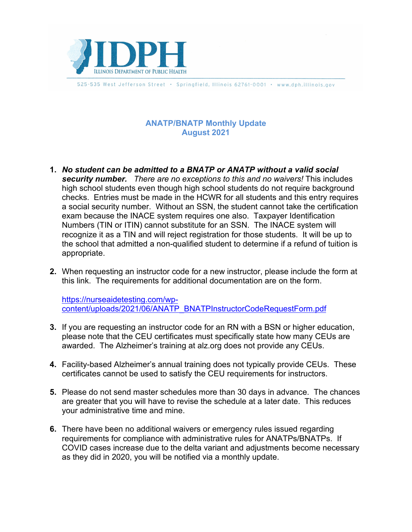

525-535 West Jefferson Street · Springfield, Illinois 62761-0001 · www.dph.illinois.gov

## **ANATP/BNATP Monthly Update August 2021**

- **1.** *No student can be admitted to a BNATP or ANATP without a valid social security number. There are no exceptions to this and no waivers!* This includes high school students even though high school students do not require background checks. Entries must be made in the HCWR for all students and this entry requires a social security number. Without an SSN, the student cannot take the certification exam because the INACE system requires one also. Taxpayer Identification Numbers (TIN or ITIN) cannot substitute for an SSN. The INACE system will recognize it as a TIN and will reject registration for those students. It will be up to the school that admitted a non-qualified student to determine if a refund of tuition is appropriate.
- **2.** When requesting an instructor code for a new instructor, please include the form at this link. The requirements for additional documentation are on the form.

[https://nurseaidetesting.com/wp](https://nurseaidetesting.com/wp-content/uploads/2021/06/ANATP_BNATPInstructorCodeRequestForm.pdf)[content/uploads/2021/06/ANATP\\_BNATPInstructorCodeRequestForm.pdf](https://nurseaidetesting.com/wp-content/uploads/2021/06/ANATP_BNATPInstructorCodeRequestForm.pdf)

- **3.** If you are requesting an instructor code for an RN with a BSN or higher education, please note that the CEU certificates must specifically state how many CEUs are awarded. The Alzheimer's training at alz.org does not provide any CEUs.
- **4.** Facility-based Alzheimer's annual training does not typically provide CEUs. These certificates cannot be used to satisfy the CEU requirements for instructors.
- **5.** Please do not send master schedules more than 30 days in advance. The chances are greater that you will have to revise the schedule at a later date. This reduces your administrative time and mine.
- **6.** There have been no additional waivers or emergency rules issued regarding requirements for compliance with administrative rules for ANATPs/BNATPs. If COVID cases increase due to the delta variant and adjustments become necessary as they did in 2020, you will be notified via a monthly update.